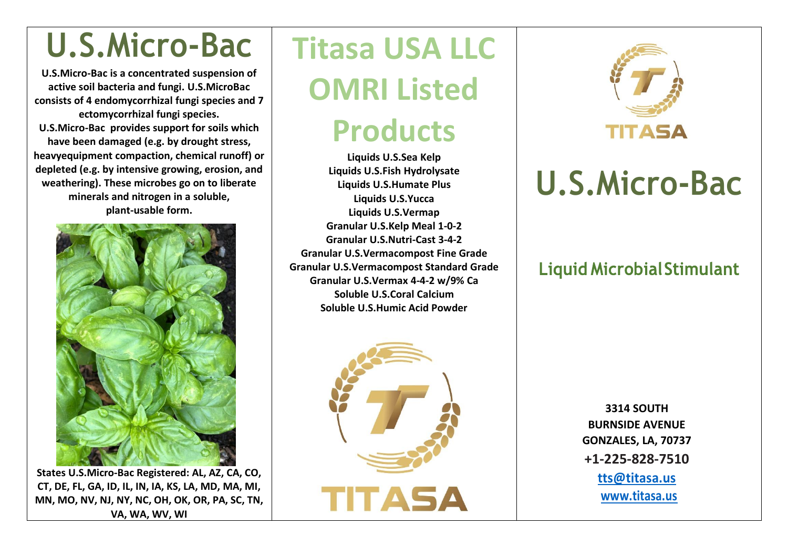## **U.S.Micro-Bac**

**U.S.Micro-Bac is a concentrated suspension of active soil bacteria and fungi. U.S.MicroBac consists of 4 endomycorrhizal fungi species and 7 ectomycorrhizal fungi species. U.S.Micro-Bac provides support for soils which have been damaged (e.g. by drought stress, heavyequipment compaction, chemical runoff) or depleted (e.g. by intensive growing, erosion, and weathering). These microbes go on to liberate minerals and nitrogen in a soluble, plant-usable form.**



**States U.S.Micro-Bac Registered: AL, AZ, CA, CO, CT, DE, FL, GA, ID, IL, IN, IA, KS, LA, MD, MA, MI, MN, MO, NV, NJ, NY, NC, OH, OK, OR, PA, SC, TN, VA, WA, WV, WI**

# **Titasa USA LLC OMRI Listed**

## **Products**

**Liquids U.S.Sea Kelp Liquids U.S.Fish Hydrolysate Liquids U.S.Humate Plus Liquids U.S.Yucca Liquids U.S.Vermap Granular U.S.Kelp Meal 1-0-2 Granular U.S.Nutri-Cast 3-4-2 Granular U.S.Vermacompost Fine Grade Granular U.S.Vermacompost Standard Grade Granular U.S.Vermax 4-4-2 w/9% Ca Soluble U.S.Coral Calcium Soluble U.S.Humic Acid Powder**





## **U.S.Micro-Bac**

#### **Liquid Microbial Stimulant**

**3314 SOUTH BURNSIDE AVENUE GONZALES, LA, 70737 +1-225-828-7510 [tts@titasa.us](mailto:tts@titasa.us) [www.titasa.us](http://www.titasa.us/)**